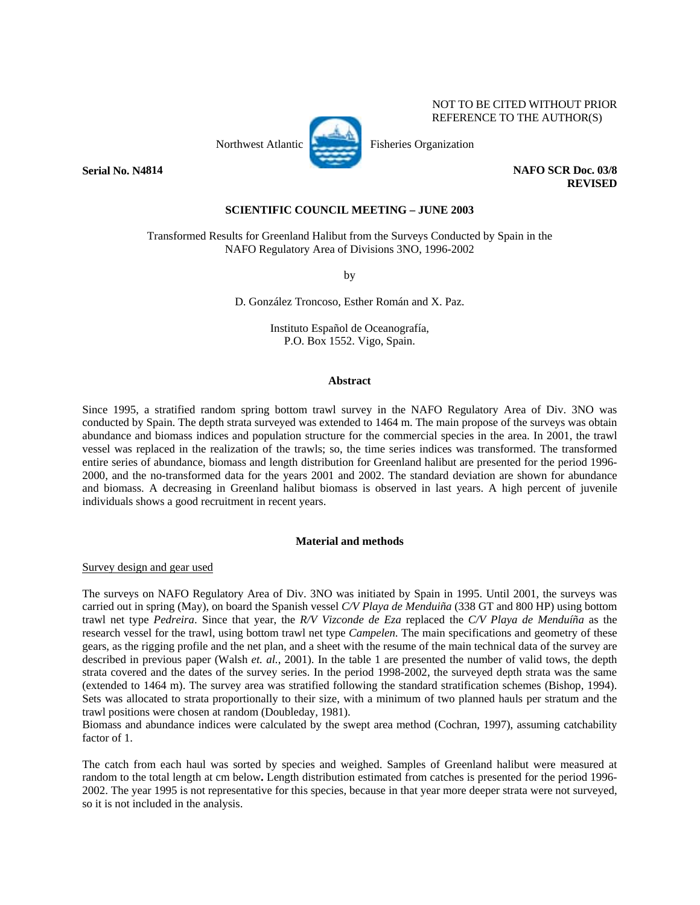NOT TO BE CITED WITHOUT PRIOR REFERENCE TO THE AUTHOR(S)



**REVISED** 

# **SCIENTIFIC COUNCIL MEETING – JUNE 2003**

Transformed Results for Greenland Halibut from the Surveys Conducted by Spain in the NAFO Regulatory Area of Divisions 3NO, 1996-2002

by

D. González Troncoso, Esther Román and X. Paz.

Instituto Español de Oceanografía, P.O. Box 1552. Vigo, Spain.

## **Abstract**

Since 1995, a stratified random spring bottom trawl survey in the NAFO Regulatory Area of Div. 3NO was conducted by Spain. The depth strata surveyed was extended to 1464 m. The main propose of the surveys was obtain abundance and biomass indices and population structure for the commercial species in the area. In 2001, the trawl vessel was replaced in the realization of the trawls; so, the time series indices was transformed. The transformed entire series of abundance, biomass and length distribution for Greenland halibut are presented for the period 1996- 2000, and the no-transformed data for the years 2001 and 2002. The standard deviation are shown for abundance and biomass. A decreasing in Greenland halibut biomass is observed in last years. A high percent of juvenile individuals shows a good recruitment in recent years.

## **Material and methods**

Survey design and gear used

The surveys on NAFO Regulatory Area of Div. 3NO was initiated by Spain in 1995. Until 2001, the surveys was carried out in spring (May), on board the Spanish vessel *C/V Playa de Menduiña* (338 GT and 800 HP) using bottom trawl net type *Pedreira*. Since that year, the *R/V Vizconde de Eza* replaced the *C/V Playa de Menduíña* as the research vessel for the trawl, using bottom trawl net type *Campelen*. The main specifications and geometry of these gears, as the rigging profile and the net plan, and a sheet with the resume of the main technical data of the survey are described in previous paper (Walsh *et. al.*, 2001). In the table 1 are presented the number of valid tows, the depth strata covered and the dates of the survey series. In the period 1998-2002, the surveyed depth strata was the same (extended to 1464 m). The survey area was stratified following the standard stratification schemes (Bishop, 1994). Sets was allocated to strata proportionally to their size, with a minimum of two planned hauls per stratum and the trawl positions were chosen at random (Doubleday, 1981).

Biomass and abundance indices were calculated by the swept area method (Cochran, 1997), assuming catchability factor of 1.

The catch from each haul was sorted by species and weighed. Samples of Greenland halibut were measured at random to the total length at cm below**.** Length distribution estimated from catches is presented for the period 1996- 2002. The year 1995 is not representative for this species, because in that year more deeper strata were not surveyed, so it is not included in the analysis.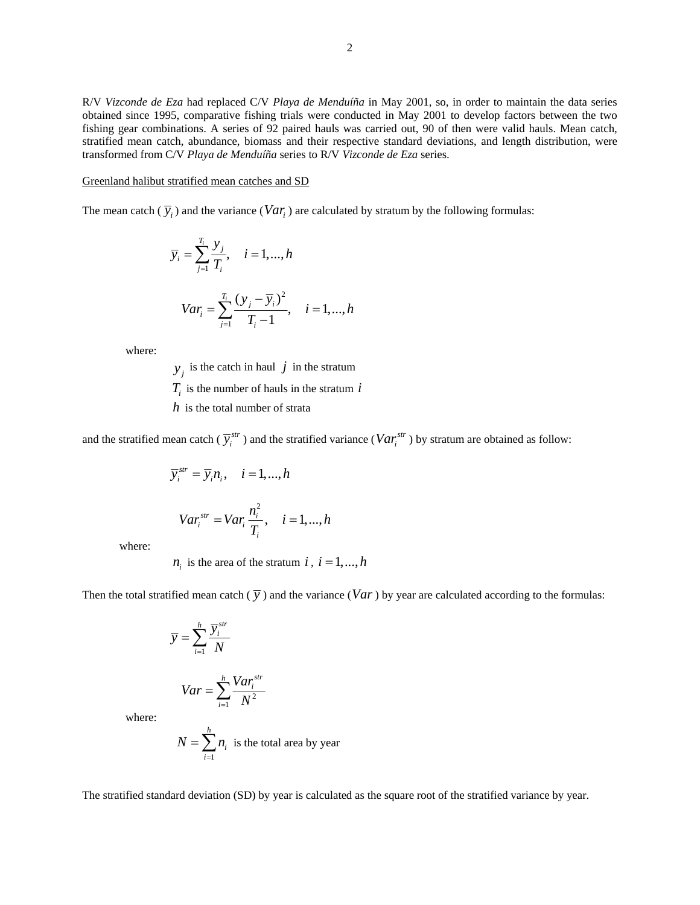R/V *Vizconde de Eza* had replaced C/V *Playa de Menduíña* in May 2001, so, in order to maintain the data series obtained since 1995, comparative fishing trials were conducted in May 2001 to develop factors between the two fishing gear combinations. A series of 92 paired hauls was carried out, 90 of then were valid hauls. Mean catch, stratified mean catch, abundance, biomass and their respective standard deviations, and length distribution, were transformed from C/V *Playa de Menduíña* series to R/V *Vizconde de Eza* series.

## Greenland halibut stratified mean catches and SD

The mean catch  $(\bar{y}_i)$  and the variance (*Var<sub>i</sub>*) are calculated by stratum by the following formulas:

$$
\overline{y}_i = \sum_{j=1}^{T_i} \frac{y_j}{T_i}, \quad i = 1, ..., h
$$
  

$$
Var_i = \sum_{j=1}^{T_i} \frac{(y_j - \overline{y}_i)^2}{T_i - 1}, \quad i = 1, ..., h
$$

where:

 $y_j$  is the catch in haul *j* in the stratum

 $T_i$  is the number of hauls in the stratum  $i$ 

*h* is the total number of strata

and the stratified mean catch ( $\overline{y}_i^{str}$ ) and the stratified variance ( $Var_i^{str}$ ) by stratum are obtained as follow:

$$
\overline{y}_{i}^{str} = \overline{y}_{i} n_{i}, \quad i = 1, ..., h
$$

$$
Var_{i}^{str} = Var_{i} \frac{n_{i}^{2}}{T_{i}}, \quad i = 1, ..., h
$$

where:

 $n_i$  is the area of the stratum *i*,  $i = 1, ..., h$ 

Then the total stratified mean catch  $(\bar{y})$  and the variance (*Var*) by year are calculated according to the formulas:

$$
\overline{y} = \sum_{i=1}^{h} \frac{\overline{y}_i^{str}}{N}
$$

$$
Var = \sum_{i=1}^{h} \frac{Var_i^{str}}{N^2}
$$

where:

$$
N = \sum_{i=1}^{h} n_i
$$
 is the total area by year

The stratified standard deviation (SD) by year is calculated as the square root of the stratified variance by year.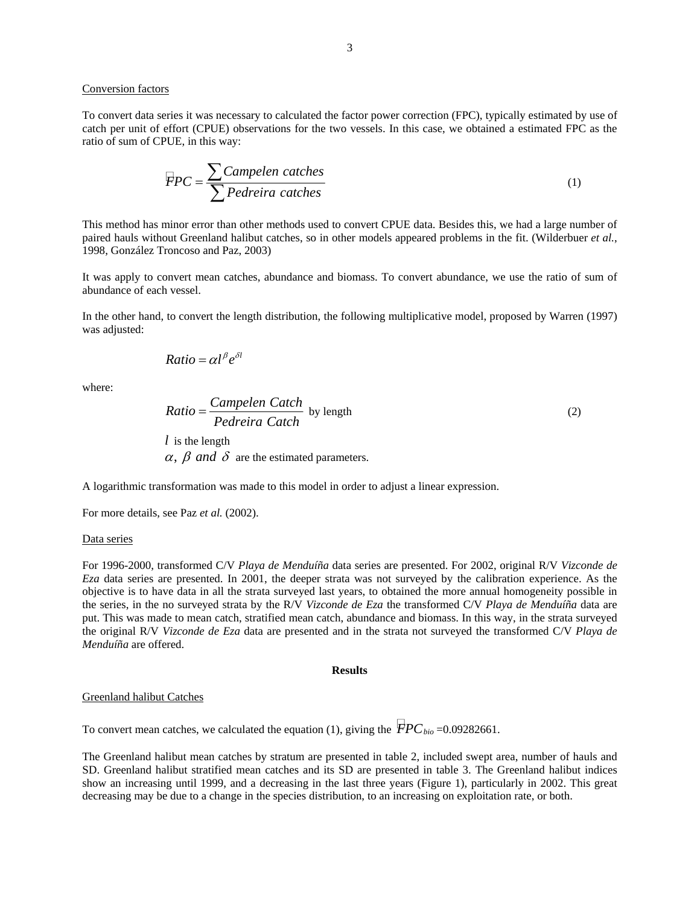# Conversion factors

To convert data series it was necessary to calculated the factor power correction (FPC), typically estimated by use of catch per unit of effort (CPUE) observations for the two vessels. In this case, we obtained a estimated FPC as the ratio of sum of CPUE, in this way:

$$
FPC = \frac{\sum Campelen\ catches}{\sum Pedreira\ catches} \tag{1}
$$

This method has minor error than other methods used to convert CPUE data. Besides this, we had a large number of paired hauls without Greenland halibut catches, so in other models appeared problems in the fit. (Wilderbuer *et al.*, 1998, González Troncoso and Paz, 2003)

It was apply to convert mean catches, abundance and biomass. To convert abundance, we use the ratio of sum of abundance of each vessel.

In the other hand, to convert the length distribution, the following multiplicative model, proposed by Warren (1997) was adjusted:

$$
Ratio = \alpha l^{\beta} e^{\delta l}
$$

where:

Ratio = 
$$
\frac{\text{Campelen Catch}}{\text{Pederira Catch}}
$$
 by length

\nl is the length

\n
$$
\alpha, \beta \text{ and } \delta \text{ are the estimated parameters.}
$$

A logarithmic transformation was made to this model in order to adjust a linear expression.

For more details, see Paz *et al.* (2002).

#### Data series

For 1996-2000, transformed C/V *Playa de Menduíña* data series are presented. For 2002, original R/V *Vizconde de Eza* data series are presented. In 2001, the deeper strata was not surveyed by the calibration experience. As the objective is to have data in all the strata surveyed last years, to obtained the more annual homogeneity possible in the series, in the no surveyed strata by the R/V *Vizconde de Eza* the transformed C/V *Playa de Menduíña* data are put. This was made to mean catch, stratified mean catch, abundance and biomass. In this way, in the strata surveyed the original R/V *Vizconde de Eza* data are presented and in the strata not surveyed the transformed C/V *Playa de Menduíña* are offered.

### **Results**

# Greenland halibut Catches

To convert mean catches, we calculated the equation (1), giving the  $FPC_{bio} = 0.09282661$ .

The Greenland halibut mean catches by stratum are presented in table 2, included swept area, number of hauls and SD. Greenland halibut stratified mean catches and its SD are presented in table 3. The Greenland halibut indices show an increasing until 1999, and a decreasing in the last three years (Figure 1), particularly in 2002. This great decreasing may be due to a change in the species distribution, to an increasing on exploitation rate, or both.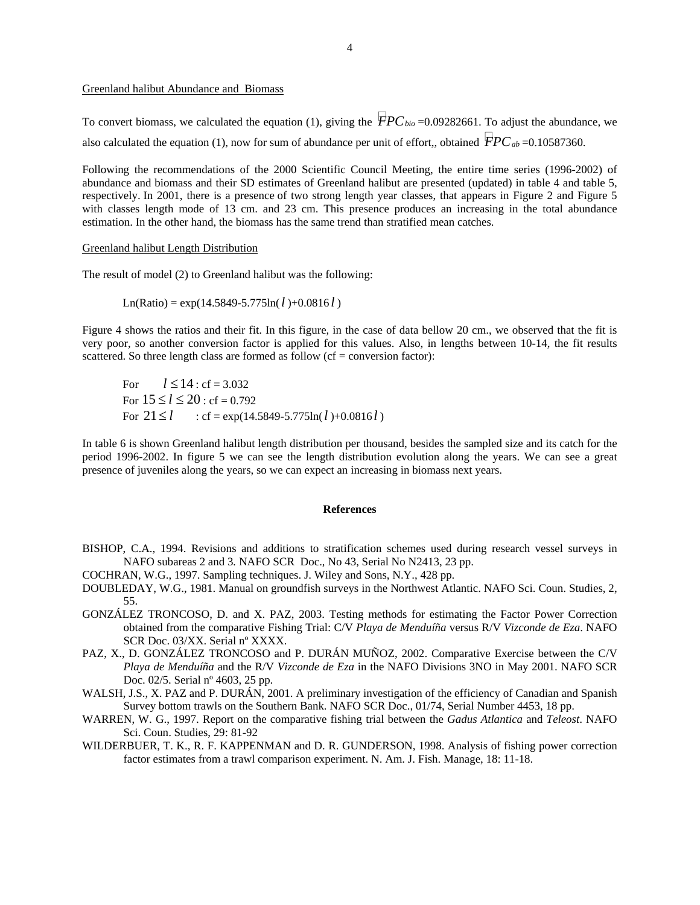# Greenland halibut Abundance and Biomass

To convert biomass, we calculated the equation (1), giving the  $\dot{F}PC_{bio}$  =0.09282661. To adjust the abundance, we also calculated the equation (1), now for sum of abundance per unit of effort,, obtained  $\dot{F}PC_{ab}$  =0.10587360.

Following the recommendations of the 2000 Scientific Council Meeting, the entire time series (1996-2002) of abundance and biomass and their SD estimates of Greenland halibut are presented (updated) in table 4 and table 5, respectively. In 2001, there is a presence of two strong length year classes, that appears in Figure 2 and Figure 5 with classes length mode of 13 cm. and 23 cm. This presence produces an increasing in the total abundance estimation. In the other hand, the biomass has the same trend than stratified mean catches.

## Greenland halibut Length Distribution

The result of model (2) to Greenland halibut was the following:

 $Ln(Ratio) = exp(14.5849 - 5.775ln(l) + 0.0816l)$ 

Figure 4 shows the ratios and their fit. In this figure, in the case of data bellow 20 cm., we observed that the fit is very poor, so another conversion factor is applied for this values. Also, in lengths between 10-14, the fit results scattered. So three length class are formed as follow  $(cf = conversion factor)$ :

For  $l \le 14$  : cf = 3.032 For  $15 \le l \le 20$ : cf = 0.792 For  $21 \le l$  : cf = exp(14.5849-5.775ln(*l*)+0.0816*l*)

In table 6 is shown Greenland halibut length distribution per thousand, besides the sampled size and its catch for the period 1996-2002. In figure 5 we can see the length distribution evolution along the years. We can see a great presence of juveniles along the years, so we can expect an increasing in biomass next years.

#### **References**

- BISHOP, C.A., 1994. Revisions and additions to stratification schemes used during research vessel surveys in NAFO subareas 2 and 3*.* NAFO SCR Doc., No 43, Serial No N2413, 23 pp.
- COCHRAN, W.G., 1997. Sampling techniques. J. Wiley and Sons, N.Y., 428 pp.
- DOUBLEDAY, W.G., 1981. Manual on groundfish surveys in the Northwest Atlantic. NAFO Sci. Coun. Studies, 2, 55.
- GONZÁLEZ TRONCOSO, D. and X. PAZ, 2003. Testing methods for estimating the Factor Power Correction obtained from the comparative Fishing Trial: C/V *Playa de Menduíña* versus R/V *Vizconde de Eza*. NAFO SCR Doc. 03/XX. Serial nº XXXX.
- PAZ, X., D. GONZÁLEZ TRONCOSO and P. DURÁN MUÑOZ, 2002. Comparative Exercise between the C/V *Playa de Menduíña* and the R/V *Vizconde de Eza* in the NAFO Divisions 3NO in May 2001. NAFO SCR Doc. 02/5. Serial nº 4603, 25 pp.
- WALSH, J.S., X. PAZ and P. DURÁN, 2001. A preliminary investigation of the efficiency of Canadian and Spanish Survey bottom trawls on the Southern Bank. NAFO SCR Doc., 01/74, Serial Number 4453, 18 pp.
- WARREN, W. G., 1997. Report on the comparative fishing trial between the *Gadus Atlantica* and *Teleost*. NAFO Sci. Coun. Studies, 29: 81-92
- WILDERBUER, T. K., R. F. KAPPENMAN and D. R. GUNDERSON, 1998. Analysis of fishing power correction factor estimates from a trawl comparison experiment. N. Am. J. Fish. Manage, 18: 11-18.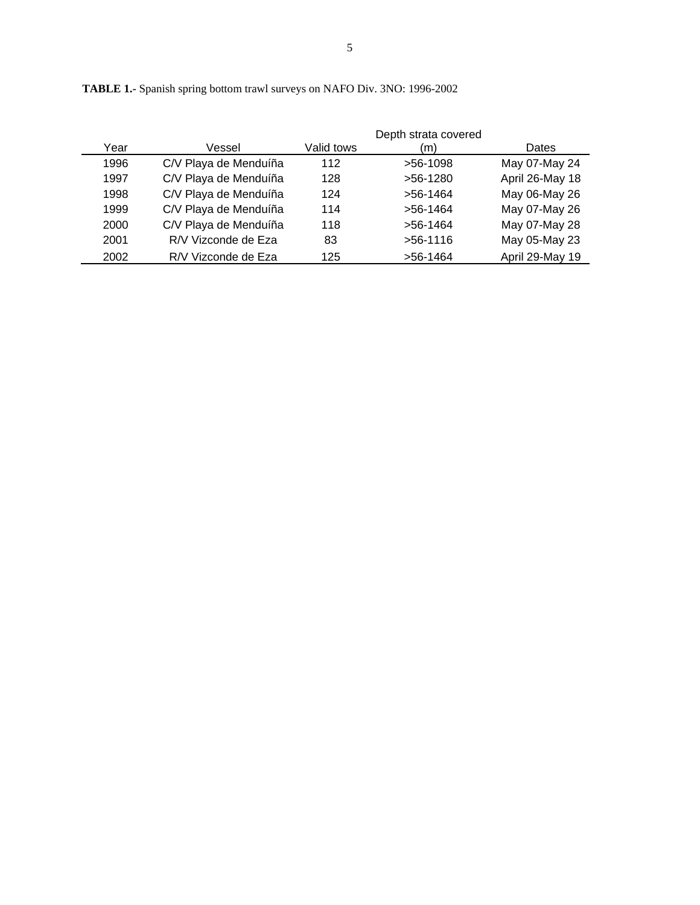|      |                       |            | Depth strata covered |                 |
|------|-----------------------|------------|----------------------|-----------------|
| Year | Vessel                | Valid tows | (m)                  | Dates           |
| 1996 | C/V Playa de Menduíña | 112        | $>56-1098$           | May 07-May 24   |
| 1997 | C/V Playa de Menduíña | 128        | $>56-1280$           | April 26-May 18 |
| 1998 | C/V Playa de Menduíña | 124        | $>56-1464$           | May 06-May 26   |
| 1999 | C/V Playa de Menduíña | 114        | $>56-1464$           | May 07-May 26   |
| 2000 | C/V Playa de Menduíña | 118        | $>56-1464$           | May 07-May 28   |
| 2001 | R/V Vizconde de Eza   | 83         | $>56-1116$           | May 05-May 23   |
| 2002 | R/V Vizconde de Eza   | 125        | $>56-1464$           | April 29-May 19 |

**TABLE 1.-** Spanish spring bottom trawl surveys on NAFO Div. 3NO: 1996-2002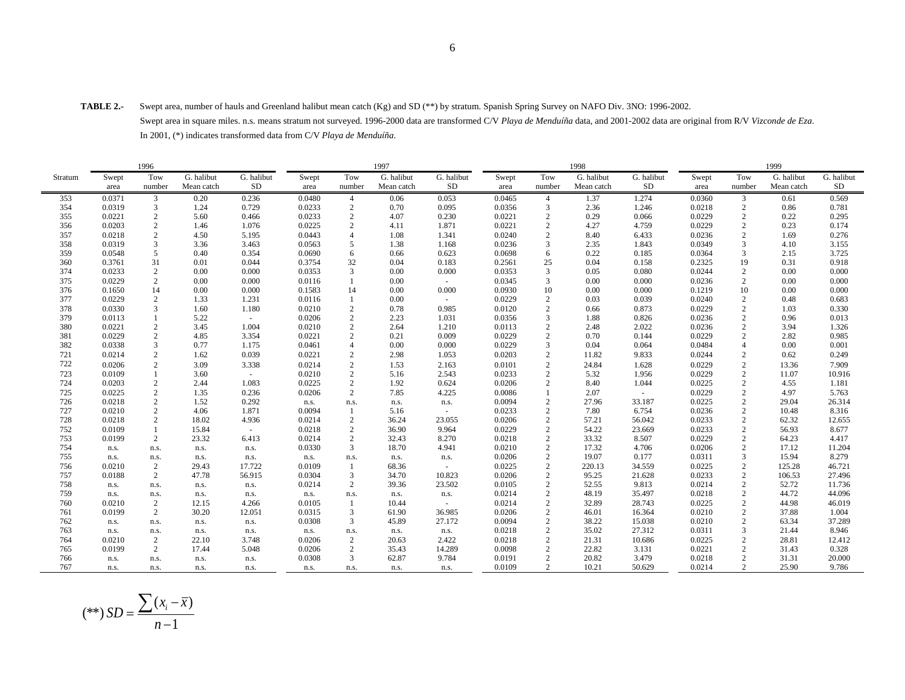**TABLE 2.-** Swept area, number of hauls and Greenland halibut mean catch (Kg) and SD (\*\*) by stratum. Spanish Spring Survey on NAFO Div. 3NO: 1996-2002.

 Swept area in square miles. n.s. means stratum not surveyed. 1996-2000 data are transformed C/V *Playa de Menduíña* data, and 2001-2002 data are original from R/V *Vizconde de Eza*. In 2001, (\*) indicates transformed data from C/V *Playa de Menduíña*.

|         |        | 1996           |            |            |        |                | 1997       |            |        |                                 | 1998       |            |        |                | 1999       |            |
|---------|--------|----------------|------------|------------|--------|----------------|------------|------------|--------|---------------------------------|------------|------------|--------|----------------|------------|------------|
| Stratum | Swept  | Tow            | G. halibut | G. halibut | Swept  | Tow            | G. halibut | G. halibut | Swept  | Tow                             | G. halibut | G. halibut | Swept  | Tow            | G. halibut | G. halibut |
|         | area   | number         | Mean catch | <b>SD</b>  | area   | number         | Mean catch | <b>SD</b>  | area   | number                          | Mean catch | <b>SD</b>  | area   | number         | Mean catch | SD         |
| 353     | 0.0371 | $\overline{3}$ | 0.20       | 0.236      | 0.0480 | $\overline{4}$ | 0.06       | 0.053      | 0.0465 | $\overline{4}$                  | 1.37       | 1.274      | 0.0360 | $\mathbf{3}$   | 0.61       | 0.569      |
| 354     | 0.0319 | 3              | 1.24       | 0.729      | 0.0233 | $\overline{2}$ | 0.70       | 0.095      | 0.0356 | 3                               | 2.36       | 1.246      | 0.0218 | 2              | 0.86       | 0.781      |
| 355     | 0.0221 | $\overline{c}$ | 5.60       | 0.466      | 0.0233 | $\sqrt{2}$     | 4.07       | 0.230      | 0.0221 | $\overline{2}$                  | 0.29       | 0.066      | 0.0229 | $\overline{2}$ | 0.22       | 0.295      |
| 356     | 0.0203 | 2              | 1.46       | 1.076      | 0.0225 | $\overline{2}$ | 4.11       | 1.871      | 0.0221 | $\overline{2}$                  | 4.27       | 4.759      | 0.0229 | $\overline{2}$ | 0.23       | 0.174      |
| 357     | 0.0218 | $\overline{2}$ | 4.50       | 5.195      | 0.0443 | $\overline{4}$ | 1.08       | 1.341      | 0.0240 | $\overline{2}$                  | 8.40       | 6.433      | 0.0236 | $\overline{2}$ | 1.69       | 0.276      |
| 358     | 0.0319 | 3              | 3.36       | 3.463      | 0.0563 | 5              | 1.38       | 1.168      | 0.0236 | 3                               | 2.35       | 1.843      | 0.0349 | $\mathcal{R}$  | 4.10       | 3.155      |
| 359     | 0.0548 | 5              | 0.40       | 0.354      | 0.0690 | 6              | 0.66       | 0.623      | 0.0698 | 6                               | 0.22       | 0.185      | 0.0364 | 3              | 2.15       | 3.725      |
| 360     | 0.3761 | 31             | 0.01       | 0.044      | 0.3754 | 32             | 0.04       | 0.183      | 0.2561 | 25                              | 0.04       | 0.158      | 0.2325 | 19             | 0.31       | 0.918      |
| 374     | 0.0233 | $\overline{2}$ | 0.00       | 0.000      | 0.0353 | 3              | 0.00       | 0.000      | 0.0353 | 3                               | 0.05       | 0.080      | 0.0244 | $\overline{2}$ | 0.00       | 0.000      |
| 375     | 0.0229 | 2              | 0.00       | 0.000      | 0.0116 | $\mathbf{1}$   | 0.00       | $\sim$     | 0.0345 | 3                               | 0.00       | 0.000      | 0.0236 | $\overline{2}$ | 0.00       | 0.000      |
| 376     | 0.1650 | 14             | 0.00       | 0.000      | 0.1583 | 14             | 0.00       | 0.000      | 0.0930 | 10                              | 0.00       | 0.000      | 0.1219 | 10             | 0.00       | 0.000      |
| 377     | 0.0229 | 2              | 1.33       | 1.231      | 0.0116 | $\mathbf{1}$   | 0.00       | $\sim$     | 0.0229 | 2                               | 0.03       | 0.039      | 0.0240 | $\overline{2}$ | 0.48       | 0.683      |
| 378     | 0.0330 | 3              | 1.60       | 1.180      | 0.0210 | $\sqrt{2}$     | 0.78       | 0.985      | 0.0120 | $\overline{c}$                  | 0.66       | 0.873      | 0.0229 | $\overline{c}$ | 1.03       | 0.330      |
| 379     | 0.0113 | $\mathbf{1}$   | 5.22       | $\sim$     | 0.0206 | 2              | 2.23       | 1.031      | 0.0356 | 3                               | 1.88       | 0.826      | 0.0236 | $\overline{2}$ | 0.96       | 0.013      |
| 380     | 0.0221 | 2              | 3.45       | 1.004      | 0.0210 | 2              | 2.64       | 1.210      | 0.0113 | $\overline{2}$                  | 2.48       | 2.022      | 0.0236 | $\overline{2}$ | 3.94       | 1.326      |
| 381     | 0.0229 | $\overline{c}$ | 4.85       | 3.354      | 0.0221 | $\sqrt{2}$     | 0.21       | 0.009      | 0.0229 | $\overline{c}$                  | 0.70       | 0.144      | 0.0229 | $\overline{2}$ | 2.82       | 0.985      |
| 382     | 0.0338 | 3              | 0.77       | 1.175      | 0.0461 | $\overline{4}$ | 0.00       | 0.000      | 0.0229 | $\overline{3}$                  | 0.04       | 0.064      | 0.0484 | $\overline{4}$ | 0.00       | 0.001      |
| 721     | 0.0214 | $\overline{c}$ | 1.62       | 0.039      | 0.0221 | $\overline{2}$ | 2.98       | 1.053      | 0.0203 | $\overline{2}$                  | 11.82      | 9.833      | 0.0244 | $\overline{2}$ | 0.62       | 0.249      |
| 722     | 0.0206 | $\overline{c}$ | 3.09       | 3.338      | 0.0214 | 2              | 1.53       | 2.163      | 0.0101 | $\overline{2}$                  | 24.84      | 1.628      | 0.0229 | $\overline{2}$ | 13.36      | 7.909      |
| 723     | 0.0109 | $\mathbf{1}$   | 3.60       | $\sim$     | 0.0210 | $\sqrt{2}$     | 5.16       | 2.543      | 0.0233 | $\overline{2}$                  | 5.32       | 1.956      | 0.0229 | $\overline{c}$ | 11.07      | 10.916     |
| 724     | 0.0203 | $\overline{2}$ | 2.44       | 1.083      | 0.0225 | $\overline{2}$ | 1.92       | 0.624      | 0.0206 | $\overline{c}$                  | 8.40       | 1.044      | 0.0225 | $\overline{2}$ | 4.55       | 1.181      |
| 725     | 0.0225 | $\overline{c}$ | 1.35       | 0.236      | 0.0206 | 2              | 7.85       | 4.225      | 0.0086 |                                 | 2.07       | $\sim$     | 0.0229 | $\overline{2}$ | 4.97       | 5.763      |
| 726     | 0.0218 | $\sqrt{2}$     | 1.52       | 0.292      | n.s.   | n.s.           | n.s.       | n.s.       | 0.0094 | $\overline{2}$                  | 27.96      | 33.187     | 0.0225 | $\overline{c}$ | 29.04      | 26.314     |
| 727     | 0.0210 | $\overline{2}$ | 4.06       | 1.871      | 0.0094 | $\mathbf{1}$   | 5.16       | $\sim$     | 0.0233 | 2                               | 7.80       | 6.754      | 0.0236 | $\overline{2}$ | 10.48      | 8.316      |
| 728     | 0.0218 | 2              | 18.02      | 4.936      | 0.0214 | $\overline{2}$ | 36.24      | 23.055     | 0.0206 | 2                               | 57.21      | 56.042     | 0.0233 | $\overline{c}$ | 62.32      | 12.655     |
| 752     | 0.0109 | $\mathbf{1}$   | 15.84      | $\sim$     | 0.0218 | $\overline{2}$ | 36.90      | 9.964      | 0.0229 | 2                               | 54.22      | 23.669     | 0.0233 | $\overline{2}$ | 56.93      | 8.677      |
| 753     | 0.0199 | 2              | 23.32      | 6.413      | 0.0214 | $\overline{2}$ | 32.43      | 8.270      | 0.0218 | $\overline{2}$                  | 33.32      | 8.507      | 0.0229 | 2              | 64.23      | 4.417      |
| 754     | n.s.   | n.s.           | n.s.       | n.s.       | 0.0330 | 3              | 18.70      | 4.941      | 0.0210 | 2                               | 17.32      | 4.706      | 0.0206 | $\overline{2}$ | 17.12      | 11.204     |
| 755     | n.s.   | n.s.           | n.s.       | n.s.       | n.s.   | n.s.           | n.s.       | n.s.       | 0.0206 | $\overline{c}$                  | 19.07      | 0.177      | 0.0311 | 3              | 15.94      | 8.279      |
| 756     | 0.0210 | 2              | 29.43      | 17.722     | 0.0109 | -1             | 68.36      | $\sim$     | 0.0225 | 2                               | 220.13     | 34.559     | 0.0225 | 2              | 125.28     | 46.721     |
| 757     | 0.0188 | 2              | 47.78      | 56.915     | 0.0304 | 3              | 34.70      | 10.823     | 0.0206 | $\overline{c}$                  | 95.25      | 21.628     | 0.0233 | $\overline{2}$ | 106.53     | 27.496     |
| 758     | n.s.   | n.s.           | n.s.       | n.s.       | 0.0214 | 2              | 39.36      | 23.502     | 0.0105 | 2                               | 52.55      | 9.813      | 0.0214 | $\overline{2}$ | 52.72      | 11.736     |
| 759     | n.s.   | n.s.           | n.s.       | n.s.       | n.s.   | n.s.           | n.s.       | n.s.       | 0.0214 | $\overline{2}$                  | 48.19      | 35.497     | 0.0218 | $\overline{2}$ | 44.72      | 44.096     |
| 760     | 0.0210 | 2              | 12.15      | 4.266      | 0.0105 | 1              | 10.44      | $\sim$     | 0.0214 | 2                               | 32.89      | 28.743     | 0.0225 | $\overline{2}$ | 44.98      | 46.019     |
| 761     | 0.0199 | 2              | 30.20      | 12.051     | 0.0315 | 3              | 61.90      | 36.985     | 0.0206 | 2                               | 46.01      | 16.364     | 0.0210 | $\overline{2}$ | 37.88      | 1.004      |
| 762     | n.s.   | n.s.           | n.s.       | n.s.       | 0.0308 | 3              | 45.89      | 27.172     | 0.0094 | $\overline{2}$                  | 38.22      | 15.038     | 0.0210 | $\overline{c}$ | 63.34      | 37.289     |
| 763     | n.s.   | n.s.           | n.s.       | n.s.       | n.s.   | n.s.           | n.s.       | n.s.       | 0.0218 | $\overline{c}$                  | 35.02      | 27.312     | 0.0311 | $\mathbf{3}$   | 21.44      | 8.946      |
| 764     | 0.0210 | 2              | 22.10      | 3.748      | 0.0206 | 2              | 20.63      | 2.422      | 0.0218 | 2                               | 21.31      | 10.686     | 0.0225 | $\overline{c}$ | 28.81      | 12.412     |
| 765     | 0.0199 | 2              | 17.44      | 5.048      | 0.0206 | 2              | 35.43      | 14.289     | 0.0098 | $\overline{c}$                  | 22.82      | 3.131      | 0.0221 | $\overline{c}$ | 31.43      | 0.328      |
| 766     | n.s.   | n.s.           | n.s.       | n.s.       | 0.0308 | 3              | 62.87      | 9.784      | 0.0191 | $\overline{2}$<br>$\mathcal{L}$ | 20.82      | 3.479      | 0.0218 | $\overline{2}$ | 31.31      | 20.000     |
| 767     | n.s.   | n.s.           | n.s.       | n.s.       | n.s.   | n.s.           | n.s.       | n.s.       | 0.0109 |                                 | 10.21      | 50.629     | 0.0214 | $\overline{2}$ | 25.90      | 9.786      |

$$
(**) SD = \frac{\sum (x_i - \overline{x})}{n - 1}
$$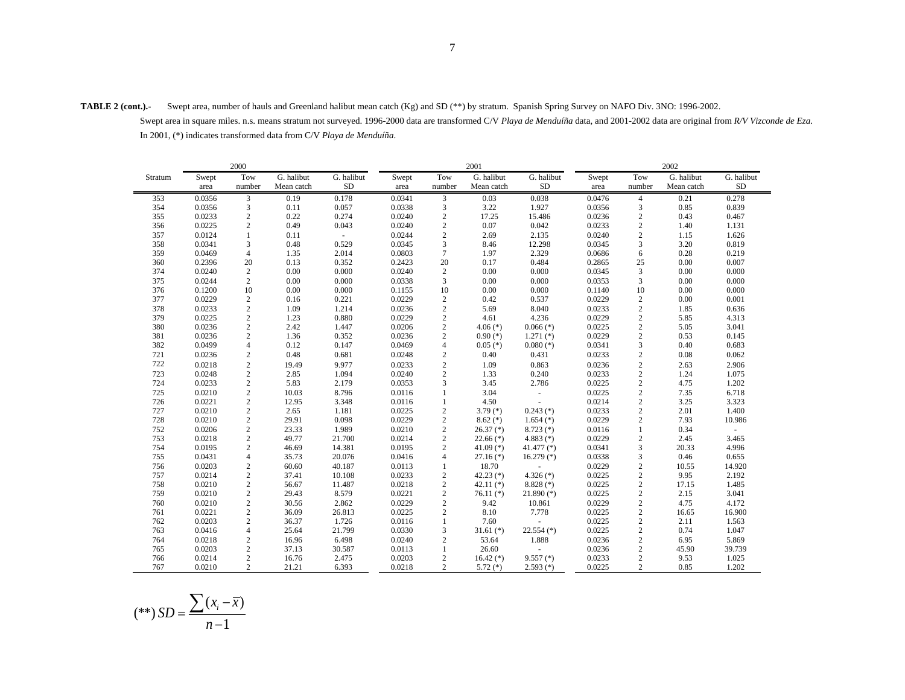**TABLE 2 (cont.).-** Swept area, number of hauls and Greenland halibut mean catch (Kg) and SD (\*\*) by stratum. Spanish Spring Survey on NAFO Div. 3NO: 1996-2002.

 Swept area in square miles. n.s. means stratum not surveyed. 1996-2000 data are transformed C/V *Playa de Menduíña* data, and 2001-2002 data are original from *R/V Vizconde de Eza*. In 2001, (\*) indicates transformed data from C/V *Playa de Menduíña*.

|         |        | 2000           |            |            |        |                | 2001          |               |        |                |            |            |
|---------|--------|----------------|------------|------------|--------|----------------|---------------|---------------|--------|----------------|------------|------------|
| Stratum | Swept  | Tow            | G. halibut | G. halibut | Swept  | Tow            | G. halibut    | G. halibut    | Swept  | Tow            | G. halibut | G. halibut |
|         | area   | number         | Mean catch | <b>SD</b>  | area   | number         | Mean catch    | <b>SD</b>     | area   | number         | Mean catch | <b>SD</b>  |
| 353     | 0.0356 | 3              | 0.19       | 0.178      | 0.0341 | 3              | 0.03          | 0.038         | 0.0476 | $\overline{4}$ | 0.21       | 0.278      |
| 354     | 0.0356 | 3              | 0.11       | 0.057      | 0.0338 | 3              | 3.22          | 1.927         | 0.0356 | 3              | 0.85       | 0.839      |
| 355     | 0.0233 | $\sqrt{2}$     | 0.22       | 0.274      | 0.0240 | $\sqrt{2}$     | 17.25         | 15.486        | 0.0236 | $\mathbf{2}$   | 0.43       | 0.467      |
| 356     | 0.0225 | $\overline{c}$ | 0.49       | 0.043      | 0.0240 | $\mathbf{2}$   | 0.07          | 0.042         | 0.0233 | $\overline{c}$ | 1.40       | 1.131      |
| 357     | 0.0124 | $\mathbf{1}$   | 0.11       |            | 0.0244 | $\sqrt{2}$     | 2.69          | 2.135         | 0.0240 | $\overline{c}$ | 1.15       | 1.626      |
| 358     | 0.0341 | 3              | 0.48       | 0.529      | 0.0345 | 3              | 8.46          | 12.298        | 0.0345 | 3              | 3.20       | 0.819      |
| 359     | 0.0469 | $\overline{4}$ | 1.35       | 2.014      | 0.0803 | $\tau$         | 1.97          | 2.329         | 0.0686 | 6              | 0.28       | 0.219      |
| 360     | 0.2396 | 20             | 0.13       | 0.352      | 0.2423 | 20             | 0.17          | 0.484         | 0.2865 | 25             | 0.00       | 0.007      |
| 374     | 0.0240 | $\overline{c}$ | 0.00       | 0.000      | 0.0240 | $\overline{c}$ | 0.00          | 0.000         | 0.0345 | 3              | 0.00       | 0.000      |
| 375     | 0.0244 | $\overline{c}$ | 0.00       | 0.000      | 0.0338 | 3              | 0.00          | 0.000         | 0.0353 | 3              | 0.00       | 0.000      |
| 376     | 0.1200 | 10             | 0.00       | 0.000      | 0.1155 | 10             | 0.00          | 0.000         | 0.1140 | 10             | 0.00       | 0.000      |
| 377     | 0.0229 | $\overline{c}$ | 0.16       | 0.221      | 0.0229 | $\overline{c}$ | 0.42          | 0.537         | 0.0229 | $\mathbf{2}$   | 0.00       | 0.001      |
| 378     | 0.0233 | $\overline{c}$ | 1.09       | 1.214      | 0.0236 | $\overline{c}$ | 5.69          | 8.040         | 0.0233 | $\overline{c}$ | 1.85       | 0.636      |
| 379     | 0.0225 | $\sqrt{2}$     | 1.23       | 0.880      | 0.0229 | $\overline{c}$ | 4.61          | 4.236         | 0.0229 | $\overline{c}$ | 5.85       | 4.313      |
| 380     | 0.0236 | $\overline{c}$ | 2.42       | 1.447      | 0.0206 | $\overline{c}$ | $4.06$ (*)    | $0.066$ (*)   | 0.0225 | $\overline{c}$ | 5.05       | 3.041      |
| 381     | 0.0236 | $\sqrt{2}$     | 1.36       | 0.352      | 0.0236 | $\mathbf{2}$   | $0.90(*)$     | $1.271$ $(*)$ | 0.0229 | $\overline{c}$ | 0.53       | 0.145      |
| 382     | 0.0499 | $\overline{4}$ | 0.12       | 0.147      | 0.0469 | $\overline{4}$ | $0.05$ (*)    | $0.080$ (*)   | 0.0341 | 3              | 0.40       | 0.683      |
| 721     | 0.0236 | $\overline{c}$ | 0.48       | 0.681      | 0.0248 | $\overline{c}$ | 0.40          | 0.431         | 0.0233 | $\overline{c}$ | 0.08       | 0.062      |
| 722     | 0.0218 | $\overline{c}$ | 19.49      | 9.977      | 0.0233 | $\mathbf{2}$   | 1.09          | 0.863         | 0.0236 | $\overline{c}$ | 2.63       | 2.906      |
| 723     | 0.0248 | $\sqrt{2}$     | 2.85       | 1.094      | 0.0240 | $\sqrt{2}$     | 1.33          | 0.240         | 0.0233 | $\overline{c}$ | 1.24       | 1.075      |
| 724     | 0.0233 | $\overline{c}$ | 5.83       | 2.179      | 0.0353 | 3              | 3.45          | 2.786         | 0.0225 | $\overline{c}$ | 4.75       | 1.202      |
| 725     | 0.0210 | $\overline{c}$ | 10.03      | 8.796      | 0.0116 | $\mathbf{1}$   | 3.04          | ä,            | 0.0225 | $\overline{c}$ | 7.35       | 6.718      |
| 726     | 0.0221 | $\sqrt{2}$     | 12.95      | 3.348      | 0.0116 | $\mathbf{1}$   | 4.50          |               | 0.0214 | $\overline{c}$ | 3.25       | 3.323      |
| 727     | 0.0210 | $\overline{c}$ | 2.65       | 1.181      | 0.0225 | $\mathbf{2}$   | $3.79(*)$     | $0.243$ (*)   | 0.0233 | $\overline{c}$ | 2.01       | 1.400      |
| 728     | 0.0210 | $\overline{c}$ | 29.91      | 0.098      | 0.0229 | $\overline{c}$ | $8.62$ (*)    | $1.654$ (*)   | 0.0229 | $\overline{c}$ | 7.93       | 10.986     |
| 752     | 0.0206 | $\sqrt{2}$     | 23.33      | 1.989      | 0.0210 | $\overline{c}$ | $26.37$ (*)   | $8.723$ (*)   | 0.0116 | $\mathbf{1}$   | 0.34       | ÷.         |
| 753     | 0.0218 | $\sqrt{2}$     | 49.77      | 21.700     | 0.0214 | $\mathbf{2}$   | $22.66$ (*)   | $4.883$ (*)   | 0.0229 | $\overline{c}$ | 2.45       | 3.465      |
| 754     | 0.0195 | $\overline{c}$ | 46.69      | 14.381     | 0.0195 | 2              | 41.09 $(*)$   | $41.477$ (*)  | 0.0341 | 3              | 20.33      | 4.996      |
| 755     | 0.0431 | $\overline{4}$ | 35.73      | 20.076     | 0.0416 | $\overline{4}$ | $27.16$ $(*)$ | $16.279$ (*)  | 0.0338 | 3              | 0.46       | 0.655      |
| 756     | 0.0203 | $\sqrt{2}$     | 60.60      | 40.187     | 0.0113 | $\mathbf{1}$   | 18.70         |               | 0.0229 | $\overline{c}$ | 10.55      | 14.920     |
| 757     | 0.0214 | $\overline{c}$ | 37.41      | 10.108     | 0.0233 | $\mathbf{2}$   | 42.23 $(*)$   | $4.326$ (*)   | 0.0225 | $\overline{c}$ | 9.95       | 2.192      |
| 758     | 0.0210 | $\sqrt{2}$     | 56.67      | 11.487     | 0.0218 | $\overline{c}$ | 42.11 $(*)$   | $8.828$ (*)   | 0.0225 | $\overline{c}$ | 17.15      | 1.485      |
| 759     | 0.0210 | $\overline{c}$ | 29.43      | 8.579      | 0.0221 | $\overline{c}$ | $76.11$ $(*)$ | $21.890$ (*)  | 0.0225 | $\overline{c}$ | 2.15       | 3.041      |
| 760     | 0.0210 | $\sqrt{2}$     | 30.56      | 2.862      | 0.0229 | $\sqrt{2}$     | 9.42          | 10.861        | 0.0229 | $\sqrt{2}$     | 4.75       | 4.172      |
| 761     | 0.0221 | $\overline{c}$ | 36.09      | 26.813     | 0.0225 | $\mathbf{2}$   | 8.10          | 7.778         | 0.0225 | $\overline{c}$ | 16.65      | 16.900     |
| 762     | 0.0203 | $\overline{2}$ | 36.37      | 1.726      | 0.0116 | $\mathbf{1}$   | 7.60          | ÷,            | 0.0225 | $\overline{c}$ | 2.11       | 1.563      |
| 763     | 0.0416 | $\overline{4}$ | 25.64      | 21.799     | 0.0330 | 3              | $31.61$ (*)   | $22.554$ (*)  | 0.0225 | $\overline{c}$ | 0.74       | 1.047      |
| 764     | 0.0218 | $\sqrt{2}$     | 16.96      | 6.498      | 0.0240 | $\mathbf{2}$   | 53.64         | 1.888         | 0.0236 | $\overline{c}$ | 6.95       | 5.869      |
| 765     | 0.0203 | $\overline{c}$ | 37.13      | 30.587     | 0.0113 | $\mathbf{1}$   | 26.60         | ÷.            | 0.0236 | $\mathbf{2}$   | 45.90      | 39.739     |
| 766     | 0.0214 | $\sqrt{2}$     | 16.76      | 2.475      | 0.0203 | $\mathbf{2}$   | $16.42$ (*)   | $9.557$ (*)   | 0.0233 | $\overline{c}$ | 9.53       | 1.025      |
| 767     | 0.0210 | $\overline{c}$ | 21.21      | 6.393      | 0.0218 | 2              | $5.72$ (*)    | $2.593$ (*)   | 0.0225 | $\overline{c}$ | 0.85       | 1.202      |

$$
(**) SD = \frac{\sum (x_i - \overline{x})}{n-1}
$$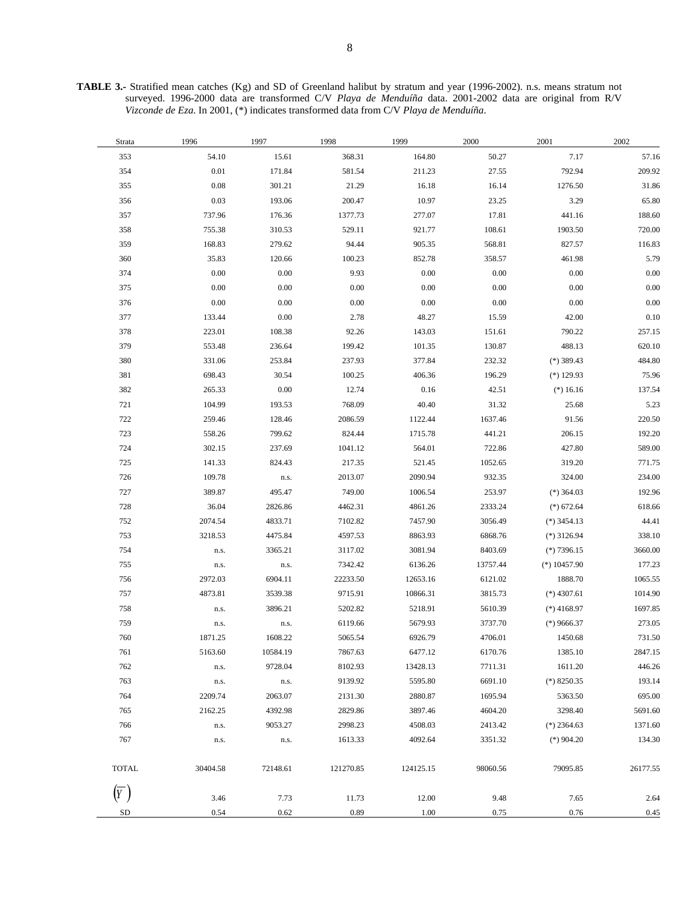**TABLE 3.-** Stratified mean catches (Kg) and SD of Greenland halibut by stratum and year (1996-2002). n.s. means stratum not surveyed. 1996-2000 data are transformed C/V *Playa de Menduíña* data. 2001-2002 data are original from R/V *Vizconde de Eza*. In 2001, (\*) indicates transformed data from C/V *Playa de Menduíña*.

| Strata       | 1996       | 1997     | 1998      | 1999      | 2000     | 2001          | 2002     |
|--------------|------------|----------|-----------|-----------|----------|---------------|----------|
| 353          | 54.10      | 15.61    | 368.31    | 164.80    | 50.27    | 7.17          | 57.16    |
| 354          | $0.01\,$   | 171.84   | 581.54    | 211.23    | 27.55    | 792.94        | 209.92   |
| 355          | $\rm 0.08$ | 301.21   | 21.29     | 16.18     | 16.14    | 1276.50       | 31.86    |
| 356          | 0.03       | 193.06   | 200.47    | 10.97     | 23.25    | 3.29          | 65.80    |
| 357          | 737.96     | 176.36   | 1377.73   | 277.07    | 17.81    | 441.16        | 188.60   |
| 358          | 755.38     | 310.53   | 529.11    | 921.77    | 108.61   | 1903.50       | 720.00   |
| 359          | 168.83     | 279.62   | 94.44     | 905.35    | 568.81   | 827.57        | 116.83   |
| 360          | 35.83      | 120.66   | 100.23    | 852.78    | 358.57   | 461.98        | 5.79     |
| 374          | 0.00       | 0.00     | 9.93      | 0.00      | $0.00\,$ | 0.00          | $0.00\,$ |
| 375          | 0.00       | 0.00     | 0.00      | 0.00      | $0.00\,$ | $0.00\,$      | $0.00\,$ |
| 376          | 0.00       | 0.00     | $0.00\,$  | 0.00      | $0.00\,$ | 0.00          | $0.00\,$ |
| 377          | 133.44     | 0.00     | 2.78      | 48.27     | 15.59    | 42.00         | 0.10     |
| 378          | 223.01     | 108.38   | 92.26     | 143.03    | 151.61   | 790.22        | 257.15   |
| 379          | 553.48     | 236.64   | 199.42    | 101.35    | 130.87   | 488.13        | 620.10   |
| 380          | 331.06     | 253.84   | 237.93    | 377.84    | 232.32   | $(*)$ 389.43  | 484.80   |
| 381          | 698.43     | 30.54    | 100.25    | 406.36    | 196.29   | $(*)$ 129.93  | 75.96    |
| 382          | 265.33     | $0.00\,$ | 12.74     | 0.16      | 42.51    | $(*) 16.16$   | 137.54   |
| 721          | 104.99     | 193.53   | 768.09    | 40.40     | 31.32    | 25.68         | 5.23     |
| 722          | 259.46     | 128.46   | 2086.59   | 1122.44   | 1637.46  | 91.56         | 220.50   |
| 723          | 558.26     | 799.62   | 824.44    | 1715.78   | 441.21   | 206.15        | 192.20   |
| 724          | 302.15     | 237.69   | 1041.12   | 564.01    | 722.86   | 427.80        | 589.00   |
| 725          | 141.33     | 824.43   | 217.35    | 521.45    | 1052.65  | 319.20        | 771.75   |
| 726          | 109.78     | n.s.     | 2013.07   | 2090.94   | 932.35   | 324.00        | 234.00   |
| 727          | 389.87     | 495.47   | 749.00    | 1006.54   | 253.97   | $(*)$ 364.03  | 192.96   |
| 728          | 36.04      | 2826.86  | 4462.31   | 4861.26   | 2333.24  | $(*) 672.64$  | 618.66   |
| 752          | 2074.54    | 4833.71  | 7102.82   | 7457.90   | 3056.49  | $(*)$ 3454.13 | 44.41    |
| 753          | 3218.53    | 4475.84  | 4597.53   | 8863.93   | 6868.76  | $(*)$ 3126.94 | 338.10   |
| 754          | n.s.       | 3365.21  | 3117.02   | 3081.94   | 8403.69  | $(*)7396.15$  | 3660.00  |
| 755          | n.s.       | n.s.     | 7342.42   | 6136.26   | 13757.44 | $(*)10457.90$ | 177.23   |
| 756          | 2972.03    | 6904.11  | 22233.50  | 12653.16  | 6121.02  | 1888.70       | 1065.55  |
| 757          | 4873.81    | 3539.38  | 9715.91   | 10866.31  | 3815.73  | $(*)$ 4307.61 | 1014.90  |
| 758          | n.s.       | 3896.21  | 5202.82   | 5218.91   | 5610.39  | $(*)$ 4168.97 | 1697.85  |
| 759          | n.s.       | n.s.     | 6119.66   | 5679.93   | 3737.70  | $(*)$ 9666.37 | 273.05   |
| 760          | 1871.25    | 1608.22  | 5065.54   | 6926.79   | 4706.01  | 1450.68       | 731.50   |
| 761          | 5163.60    | 10584.19 | 7867.63   | 6477.12   | 6170.76  | 1385.10       | 2847.15  |
| 762          | n.s.       | 9728.04  | 8102.93   | 13428.13  | 7711.31  | 1611.20       | 446.26   |
| 763          | n.s.       | n.s.     | 9139.92   | 5595.80   | 6691.10  | $(*)$ 8250.35 | 193.14   |
| 764          | 2209.74    | 2063.07  | 2131.30   | 2880.87   | 1695.94  | 5363.50       | 695.00   |
| 765          | 2162.25    | 4392.98  | 2829.86   | 3897.46   | 4604.20  | 3298.40       | 5691.60  |
| 766          | n.s.       | 9053.27  | 2998.23   | 4508.03   | 2413.42  | $(*)$ 2364.63 | 1371.60  |
| 767          | n.s.       | n.s.     | 1613.33   | 4092.64   | 3351.32  | $(*)$ 904.20  | 134.30   |
| <b>TOTAL</b> | 30404.58   | 72148.61 | 121270.85 | 124125.15 | 98060.56 | 79095.85      | 26177.55 |
| (Y)          | 3.46       | 7.73     | 11.73     | 12.00     | 9.48     | 7.65          | 2.64     |
| SD           | 0.54       | 0.62     | 0.89      | 1.00      | 0.75     | 0.76          | 0.45     |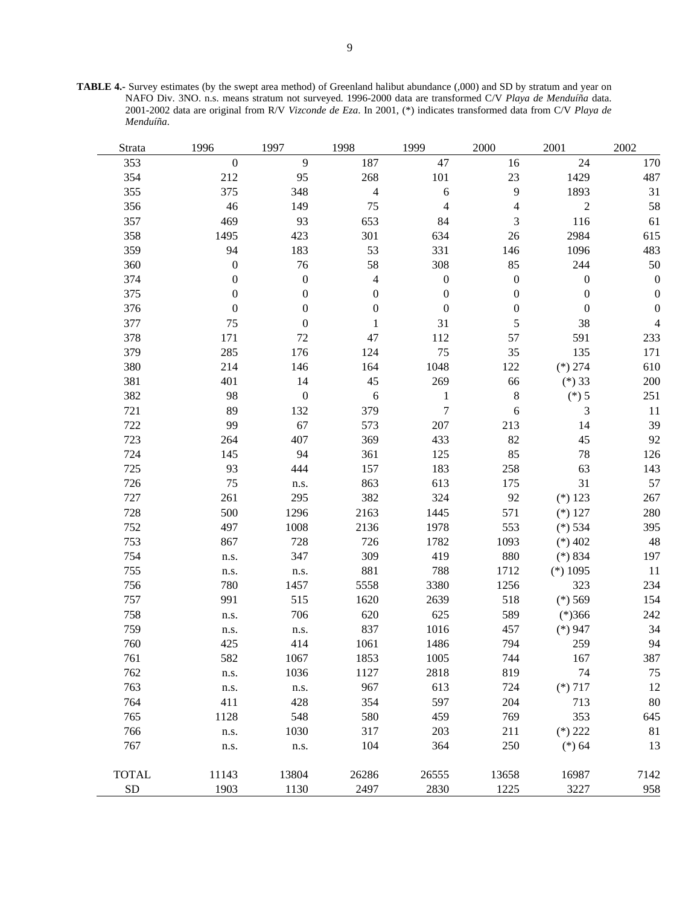**TABLE 4.-** Survey estimates (by the swept area method) of Greenland halibut abundance (,000) and SD by stratum and year on NAFO Div. 3NO. n.s. means stratum not surveyed. 1996-2000 data are transformed C/V *Playa de Menduíña* data. 2001-2002 data are original from R/V *Vizconde de Eza*. In 2001, (\*) indicates transformed data from C/V *Playa de Menduíña*.

| Strata       | 1996             | 1997             | 1998                     | 1999             | 2000             | 2001             | 2002             |
|--------------|------------------|------------------|--------------------------|------------------|------------------|------------------|------------------|
| 353          | $\boldsymbol{0}$ | 9                | 187                      | 47               | 16               | 24               | 170              |
| 354          | 212              | 95               | 268                      | 101              | 23               | 1429             | 487              |
| 355          | 375              | 348              | $\overline{\mathcal{L}}$ | 6                | 9                | 1893             | 31               |
| 356          | 46               | 149              | 75                       | 4                | $\overline{4}$   | $\overline{2}$   | 58               |
| 357          | 469              | 93               | 653                      | 84               | 3                | 116              | 61               |
| 358          | 1495             | 423              | 301                      | 634              | 26               | 2984             | 615              |
| 359          | 94               | 183              | 53                       | 331              | 146              | 1096             | 483              |
| 360          | $\boldsymbol{0}$ | 76               | 58                       | 308              | 85               | 244              | 50               |
| 374          | $\boldsymbol{0}$ | $\boldsymbol{0}$ | 4                        | $\boldsymbol{0}$ | $\boldsymbol{0}$ | $\boldsymbol{0}$ | $\boldsymbol{0}$ |
| 375          | $\boldsymbol{0}$ | $\boldsymbol{0}$ | $\boldsymbol{0}$         | $\boldsymbol{0}$ | $\boldsymbol{0}$ | $\boldsymbol{0}$ | $\boldsymbol{0}$ |
| 376          | $\boldsymbol{0}$ | $\boldsymbol{0}$ | $\boldsymbol{0}$         | $\boldsymbol{0}$ | $\boldsymbol{0}$ | $\boldsymbol{0}$ | $\boldsymbol{0}$ |
| 377          | 75               | $\boldsymbol{0}$ | 1                        | 31               | 5                | 38               | 4                |
| 378          | 171              | 72               | 47                       | 112              | 57               | 591              | 233              |
| 379          | 285              | 176              | 124                      | 75               | 35               | 135              | 171              |
| 380          | 214              | 146              | 164                      | 1048             | 122              | $(*) 274$        | 610              |
| 381          | 401              | 14               | 45                       | 269              | 66               | $(*)33$          | 200              |
| 382          | 98               | $\boldsymbol{0}$ | $\sqrt{6}$               | $\,1$            | $\,8$            | $(*) 5$          | 251              |
| 721          | 89               | 132              | 379                      | $\overline{7}$   | 6                | 3                | 11               |
| 722          | 99               | 67               | 573                      | 207              | 213              | 14               | 39               |
| 723          | 264              | 407              | 369                      | 433              | 82               | 45               | 92               |
| 724          | 145              | 94               | 361                      | 125              | 85               | 78               | 126              |
| 725          | 93               | 444              | 157                      | 183              | 258              | 63               | 143              |
| 726          | 75               | n.s.             | 863                      | 613              | 175              | 31               | 57               |
| 727          | 261              | 295              | 382                      | 324              | 92               | $(*) 123$        | 267              |
| 728          | 500              | 1296             | 2163                     | 1445             | 571              | $(*) 127$        | 280              |
| 752          | 497              | 1008             | 2136                     | 1978             | 553              | $(*) 534$        | 395              |
| 753          | 867              | 728              | 726                      | 1782             | 1093             | $(*)$ 402        | 48               |
| 754          | n.s.             | 347              | 309                      | 419              | 880              | $(*) 834$        | 197              |
| 755          | n.s.             | n.s.             | 881                      | 788              | 1712             | $(*) 1095$       | 11               |
| 756          | 780              | 1457             | 5558                     | 3380             | 1256             | 323              | 234              |
| 757          | 991              | 515              | 1620                     | 2639             | 518              | $(*) 569$        | 154              |
| 758          | n.s.             | 706              | 620                      | 625              | 589              | $(*)366$         | 242              |
| 759          | n.s.             | n.s.             | 837                      | 1016             | 457              | $(*)947$         | 34               |
| 760          | 425              | 414              | 1061                     | 1486             | 794              | 259              | 94               |
| 761          | 582              | 1067             | 1853                     | 1005             | 744              | 167              | 387              |
| 762          | n.s.             | 1036             | 1127                     | 2818             | 819              | 74               | 75               |
| 763          | n.s.             | n.s.             | 967                      | 613              | 724              | $(*)717$         | 12               |
| 764          | 411              | 428              | 354                      | 597              | 204              | 713              | $80\,$           |
| 765          | 1128             | 548              | 580                      | 459              | 769              | 353              | 645              |
| 766          | n.s.             | 1030             | 317                      | 203              | 211              | $(*) 222$        | 81               |
| 767          | n.s.             | n.s.             | 104                      | 364              | 250              | $(*) 64$         | 13               |
|              |                  |                  |                          |                  |                  |                  |                  |
| <b>TOTAL</b> | 11143            | 13804            | 26286                    | 26555            | 13658            | 16987            | 7142             |
| <b>SD</b>    | 1903             | 1130             | 2497                     | 2830             | 1225             | 3227             | 958              |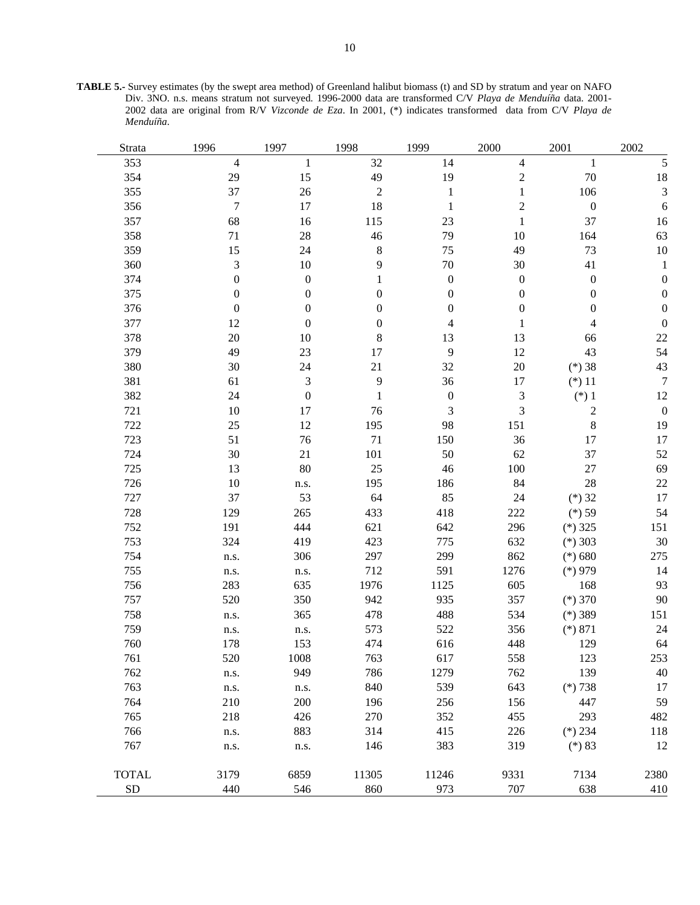**TABLE 5.-** Survey estimates (by the swept area method) of Greenland halibut biomass (t) and SD by stratum and year on NAFO Div. 3NO. n.s. means stratum not surveyed. 1996-2000 data are transformed C/V *Playa de Menduíña* data. 2001- 2002 data are original from R/V *Vizconde de Eza*. In 2001, (\*) indicates transformed data from C/V *Playa de Menduíña*.

| Strata       | 1996             | 1997             | 1998           | 1999             | 2000             | 2001             | 2002             |
|--------------|------------------|------------------|----------------|------------------|------------------|------------------|------------------|
| 353          | $\overline{4}$   | 1                | 32             | 14               | 4                | $\mathbf{1}$     | 5                |
| 354          | 29               | 15               | 49             | 19               | $\overline{c}$   | $70\,$           | 18               |
| 355          | 37               | 26               | $\overline{2}$ | $\mathbf{1}$     | $\mathbf{1}$     | 106              | 3                |
| 356          | $\boldsymbol{7}$ | 17               | 18             | $\mathbf{1}$     | $\overline{2}$   | $\boldsymbol{0}$ | 6                |
| 357          | 68               | 16               | 115            | 23               | $\mathbf{1}$     | 37               | 16               |
| 358          | 71               | 28               | 46             | 79               | 10               | 164              | 63               |
| 359          | 15               | 24               | $8\,$          | 75               | 49               | 73               | $10\,$           |
| 360          | 3                | 10               | 9              | $70\,$           | 30               | 41               | $\mathbf{1}$     |
| 374          | $\boldsymbol{0}$ | $\boldsymbol{0}$ | 1              | $\boldsymbol{0}$ | $\boldsymbol{0}$ | $\boldsymbol{0}$ | 0                |
| 375          | $\boldsymbol{0}$ | $\boldsymbol{0}$ | 0              | $\boldsymbol{0}$ | $\boldsymbol{0}$ | $\boldsymbol{0}$ | $\theta$         |
| 376          | $\boldsymbol{0}$ | $\boldsymbol{0}$ | 0              | $\boldsymbol{0}$ | $\boldsymbol{0}$ | $\boldsymbol{0}$ | $\boldsymbol{0}$ |
| 377          | 12               | $\boldsymbol{0}$ | 0              | 4                | $\mathbf{1}$     | 4                | $\boldsymbol{0}$ |
| 378          | 20               | 10               | 8              | 13               | 13               | 66               | 22               |
| 379          | 49               | 23               | 17             | 9                | 12               | 43               | 54               |
| 380          | 30               | 24               | 21             | 32               | 20               | $(*) 38$         | 43               |
| 381          | 61               | $\mathfrak 3$    | 9              | 36               | 17               | $(*) 11$         | $\boldsymbol{7}$ |
| 382          | 24               | $\boldsymbol{0}$ | $\mathbf{1}$   | $\boldsymbol{0}$ | $\mathfrak 3$    | $(*)1$           | 12               |
| 721          | 10               | 17               | 76             | $\mathfrak{Z}$   | 3                | $\overline{2}$   | $\boldsymbol{0}$ |
| 722          | 25               | 12               | 195            | 98               | 151              | $8\,$            | 19               |
| 723          | 51               | 76               | 71             | 150              | 36               | 17               | 17               |
| 724          | 30               | 21               | 101            | 50               | 62               | 37               | 52               |
| 725          | 13               | 80               | 25             | 46               | 100              | 27               | 69               |
| 726          | 10               | n.s.             | 195            | 186              | 84               | 28               | 22               |
| 727          | 37               | 53               | 64             | 85               | 24               | $(*)32$          | 17               |
| 728          | 129              | 265              | 433            | 418              | 222              | $(*)$ 59         | 54               |
| 752          | 191              | 444              | 621            | 642              | 296              | $(*)$ 325        | 151              |
| 753          | 324              | 419              | 423            | 775              | 632              | $(*)$ 303        | 30               |
| 754          | n.s.             | 306              | 297            | 299              | 862              | $(*) 680$        | 275              |
| 755          | n.s.             | n.s.             | 712            | 591              | 1276             | $(*)979$         | 14               |
| 756          | 283              | 635              | 1976           | 1125             | 605              | 168              | 93               |
| 757          | 520              | 350              | 942            | 935              | 357              | $(*) 370$        | 90               |
| 758          | n.s.             | 365              | 478            | 488              | 534              | $(*)$ 389        | 151              |
| 759          | n.s.             | n.s.             | 573            | 522              | 356              | $(*) 871$        | 24               |
| 760          | 178              | 153              | 474            | 616              | 448              | 129              | 64               |
| 761          | 520              | $1008\,$         | 763            | 617              | 558              | 123              | 253              |
| 762          | n.s.             | 949              | 786            | 1279             | 762              | 139              | 40               |
| 763          | n.s.             | n.s.             | 840            | 539              | 643              | $(*)738$         | 17               |
| 764          | 210              | 200              | 196            | 256              | 156              | 447              | 59               |
| 765          | 218              | 426              | 270            | 352              | 455              | 293              | 482              |
| 766          | n.s.             | 883              | 314            | 415              | 226              | $(*) 234$        | 118              |
| 767          | n.s.             | n.s.             | 146            | 383              | 319              | $(*) 83$         | 12               |
| <b>TOTAL</b> | 3179             | 6859             | 11305          | 11246            | 9331             | 7134             | 2380             |
| ${\rm SD}$   | 440              | 546              | 860            | 973              | 707              | 638              | 410              |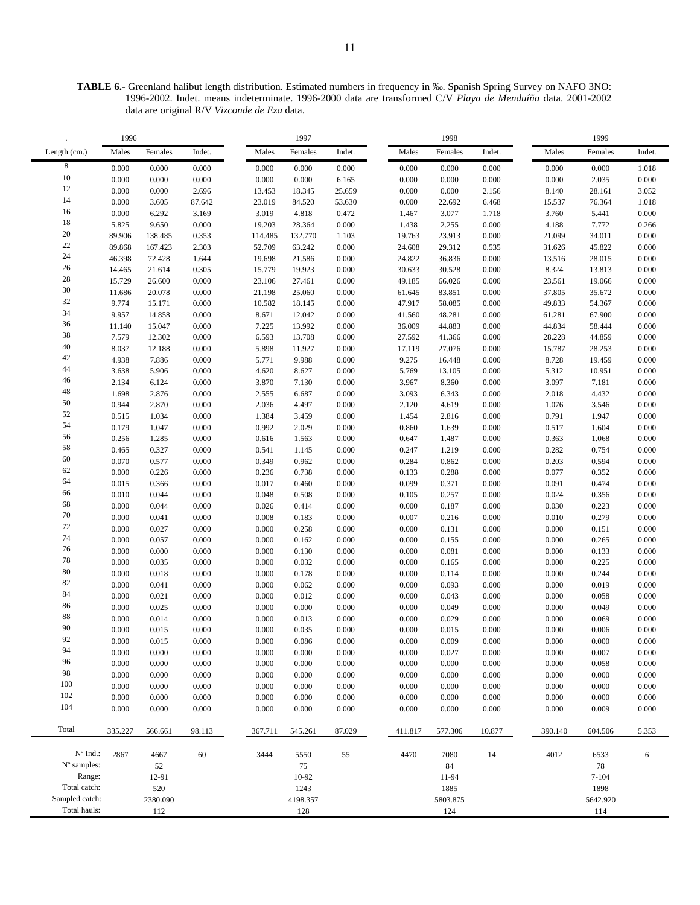**TABLE 6.-** Greenland halibut length distribution. Estimated numbers in frequency in ‰. Spanish Spring Survey on NAFO 3NO: 1996-2002. Indet. means indeterminate. 1996-2000 data are transformed C/V *Playa de Menduíña* data. 2001-2002 data are original R/V *Vizconde de Eza* data.

|                   | 1996           |                |                |                | 1997           |                |                | 1998           |                |                | 1999           |                |
|-------------------|----------------|----------------|----------------|----------------|----------------|----------------|----------------|----------------|----------------|----------------|----------------|----------------|
| Length (cm.)      | Males          | Females        | Indet.         | Males          | Females        | Indet.         | Males          | Females        | Indet.         | Males          | Females        | Indet.         |
| 8                 | 0.000          | 0.000          | 0.000          | 0.000          | 0.000          | 0.000          | 0.000          | 0.000          | 0.000          | 0.000          | 0.000          | 1.018          |
| 10                | 0.000          | 0.000          | 0.000          | 0.000          | 0.000          | 6.165          | 0.000          | 0.000          | 0.000          | 0.000          | 2.035          | 0.000          |
| 12                | 0.000          | 0.000          | 2.696          | 13.453         | 18.345         | 25.659         | 0.000          | 0.000          | 2.156          | 8.140          | 28.161         | 3.052          |
| 14                | 0.000          | 3.605          | 87.642         | 23.019         | 84.520         | 53.630         | 0.000          | 22.692         | 6.468          | 15.537         | 76.364         | 1.018          |
| 16                | 0.000          | 6.292          | 3.169          | 3.019          | 4.818          | 0.472          | 1.467          | 3.077          | 1.718          | 3.760          | 5.441          | 0.000          |
| 18                | 5.825          | 9.650          | 0.000          | 19.203         | 28.364         | 0.000          | 1.438          | 2.255          | 0.000          | 4.188          | 7.772          | 0.266          |
| $20\,$            | 89.906         | 138.485        | 0.353          | 114.485        | 132.770        | 1.103          | 19.763         | 23.913         | 0.000          | 21.099         | 34.011         | $0.000\,$      |
| $22\,$            | 89.868         | 167.423        | 2.303          | 52.709         | 63.242         | 0.000          | 24.608         | 29.312         | 0.535          | 31.626         | 45.822         | 0.000          |
| 24                | 46.398         | 72.428         | 1.644          | 19.698         | 21.586         | 0.000          | 24.822         | 36.836         | 0.000          | 13.516         | 28.015         | 0.000          |
| $26\,$            | 14.465         | 21.614         | 0.305          | 15.779         | 19.923         | 0.000          | 30.633         | 30.528         | 0.000          | 8.324          | 13.813         | 0.000          |
| $\sqrt{28}$       | 15.729         | 26.600         | 0.000          | 23.106         | 27.461         | 0.000          | 49.185         | 66.026         | 0.000          | 23.561         | 19.066         | 0.000          |
| $30\,$            | 11.686         | 20.078         | 0.000          | 21.198         | 25.060         | 0.000          | 61.645         | 83.851         | 0.000          | 37.805         | 35.672         | 0.000          |
| $32\,$            | 9.774          | 15.171         | 0.000          | 10.582         | 18.145         | 0.000          | 47.917         | 58.085         | 0.000          | 49.833         | 54.367         | 0.000          |
| 34                | 9.957          | 14.858         | 0.000          | 8.671          | 12.042         | 0.000          | 41.560         | 48.281         | 0.000          | 61.281         | 67.900         | 0.000          |
| 36                | 11.140         | 15.047         | 0.000          | 7.225          | 13.992         | 0.000          | 36.009         | 44.883         | 0.000          | 44.834         | 58.444         | 0.000          |
| $38\,$            | 7.579          | 12.302         | 0.000          | 6.593          | 13.708         | 0.000          | 27.592         | 41.366         | 0.000          | 28.228         | 44.859         | 0.000          |
| 40                | 8.037          | 12.188         | 0.000          | 5.898          | 11.927         | 0.000          | 17.119         | 27.076         | 0.000          | 15.787         | 28.253         | 0.000          |
| 42                | 4.938          | 7.886          | 0.000          | 5.771          | 9.988          | 0.000          | 9.275          | 16.448         | 0.000          | 8.728          | 19.459         | $0.000\,$      |
| 44                | 3.638          | 5.906          | 0.000          | 4.620          | 8.627          | 0.000          | 5.769          | 13.105         | 0.000          | 5.312          | 10.951         | 0.000          |
| 46                | 2.134          | 6.124          | 0.000          | 3.870          | 7.130          | 0.000          | 3.967          | 8.360          | 0.000          | 3.097          | 7.181          | 0.000          |
| $48\,$            | 1.698          | 2.876          | 0.000          | 2.555          | 6.687          | 0.000          | 3.093          | 6.343          | 0.000          | 2.018          | 4.432          | 0.000          |
| 50                | 0.944          | 2.870          | 0.000          | 2.036          | 4.497          | 0.000          | 2.120          | 4.619          | 0.000          | 1.076          | 3.546          | 0.000          |
| 52                | 0.515          | 1.034          | 0.000          | 1.384          | 3.459          | 0.000          | 1.454          | 2.816          | 0.000          | 0.791          | 1.947          | 0.000          |
| 54                | 0.179          | 1.047          | 0.000          | 0.992          | 2.029          | 0.000          | 0.860          | 1.639          | 0.000          | 0.517          | 1.604          | 0.000          |
| 56                | 0.256          | 1.285          | 0.000          | 0.616          | 1.563          | 0.000          | 0.647          | 1.487          | 0.000          | 0.363          | 1.068          | 0.000          |
| 58                | 0.465          | 0.327          | 0.000          | 0.541          | 1.145          | 0.000          | 0.247          | 1.219          | 0.000          | 0.282          | 0.754          | 0.000          |
| 60                | 0.070          | 0.577          | 0.000          | 0.349          | 0.962          | 0.000          | 0.284          | 0.862          | 0.000          | 0.203          | 0.594          | 0.000          |
| 62                | 0.000          | 0.226          | 0.000          | 0.236          | 0.738          | 0.000          | 0.133          | 0.288          | 0.000          | 0.077          | 0.352          | 0.000          |
| 64                | 0.015          | 0.366          | 0.000          | 0.017          | 0.460          | 0.000          | 0.099          | 0.371          | 0.000          | 0.091          | 0.474          | 0.000          |
| 66                | 0.010          | 0.044          | 0.000          | 0.048          | 0.508          | 0.000          | 0.105          | 0.257          | 0.000          | 0.024          | 0.356          | 0.000          |
| 68<br>$70\,$      | 0.000          | 0.044          | 0.000          | 0.026          | 0.414          | 0.000          | 0.000          | 0.187          | 0.000          | 0.030          | 0.223          | 0.000          |
|                   | 0.000          | 0.041          | 0.000          | 0.008          | 0.183          | 0.000          | 0.007          | 0.216          | 0.000          | 0.010          | 0.279          | 0.000          |
| $72\,$<br>$74\,$  | 0.000          | 0.027          | 0.000          | 0.000          | 0.258          | 0.000          | 0.000          | 0.131          | 0.000          | 0.000          | 0.151          | 0.000          |
| 76                | 0.000          | 0.057          | 0.000          | 0.000          | 0.162          | 0.000          | 0.000          | 0.155          | 0.000          | 0.000          | 0.265          | 0.000          |
| $78\,$            | 0.000          | 0.000          | 0.000          | 0.000          | 0.130          | 0.000          | 0.000          | 0.081          | 0.000          | 0.000          | 0.133          | $0.000\,$      |
| $80\,$            | 0.000          | 0.035          | 0.000          | 0.000          | 0.032          | 0.000          | 0.000          | 0.165          | 0.000          | 0.000          | 0.225          | 0.000          |
| 82                | 0.000          | 0.018          | 0.000          | 0.000          | 0.178          | 0.000          | 0.000          | 0.114          | 0.000          | 0.000          | 0.244          | 0.000          |
| 84                | 0.000          | 0.041          | 0.000          | 0.000          | 0.062          | 0.000          | 0.000          | 0.093          | 0.000          | 0.000          | 0.019          | 0.000          |
| 86                | 0.000          | 0.021          | 0.000          | 0.000          | 0.012          | 0.000          | 0.000          | 0.043          | 0.000          | 0.000          | 0.058          | 0.000          |
| $88\,$            | 0.000          | 0.025          | 0.000          | 0.000          | 0.000          | 0.000          | 0.000          | 0.049          | 0.000          | 0.000          | 0.049          | 0.000          |
| 90                | 0.000          | 0.014          | 0.000          | 0.000          | 0.013          | 0.000          | 0.000          | 0.029          | 0.000          | 0.000          | 0.069          | $0.000\,$      |
| 92                | 0.000          | 0.015          | 0.000          | 0.000<br>0.000 | 0.035          | 0.000          | 0.000          | 0.015<br>0.009 | 0.000          | 0.000<br>0.000 | 0.006          | 0.000          |
| 94                | 0.000<br>0.000 | 0.015<br>0.000 | 0.000<br>0.000 | 0.000          | 0.086<br>0.000 | 0.000<br>0.000 | 0.000<br>0.000 | 0.027          | 0.000<br>0.000 | 0.000          | 0.000<br>0.007 | 0.000<br>0.000 |
| 96                | 0.000          | 0.000          | 0.000          | 0.000          | 0.000          | 0.000          | 0.000          | 0.000          | 0.000          | 0.000          | 0.058          | 0.000          |
| 98                | 0.000          | 0.000          | 0.000          | 0.000          | 0.000          | 0.000          | 0.000          | 0.000          | 0.000          | 0.000          | 0.000          | 0.000          |
| 100               | 0.000          | 0.000          | 0.000          | 0.000          | 0.000          | 0.000          | 0.000          | 0.000          | 0.000          | 0.000          | 0.000          | 0.000          |
| 102               | 0.000          | 0.000          | 0.000          | 0.000          | 0.000          | 0.000          | 0.000          | 0.000          | 0.000          | 0.000          | $0.000\,$      | 0.000          |
| 104               | 0.000          | 0.000          | 0.000          | 0.000          | 0.000          | 0.000          | 0.000          | 0.000          | 0.000          | 0.000          | 0.009          | 0.000          |
|                   |                |                |                |                |                |                |                |                |                |                |                |                |
| Total             | 335.227        | 566.661        | 98.113         | 367.711        | 545.261        | 87.029         | 411.817        | 577.306        | 10.877         | 390.140        | 604.506        | 5.353          |
| $N^{\circ}$ Ind.: | 2867           | 4667           | $60\,$         | 3444           | 5550           | 55             | 4470           | 7080           | 14             | 4012           | 6533           | 6              |
| N° samples:       |                | 52             |                |                | 75             |                |                | 84             |                |                | 78             |                |
| Range:            |                | 12-91          |                |                | 10-92          |                |                | 11-94          |                |                | $7 - 104$      |                |
| Total catch:      |                | 520            |                |                | 1243           |                |                | 1885           |                |                | 1898           |                |
| Sampled catch:    |                | 2380.090       |                |                | 4198.357       |                |                | 5803.875       |                |                | 5642.920       |                |
| Total hauls:      |                | 112            |                |                | 128            |                |                | 124            |                |                | 114            |                |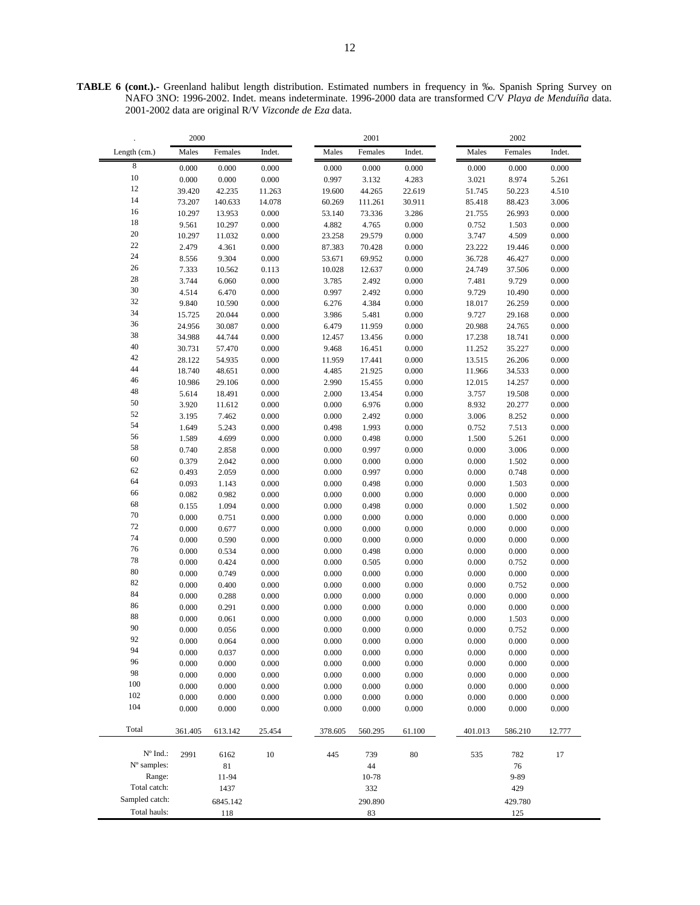**TABLE 6 (cont.).-** Greenland halibut length distribution. Estimated numbers in frequency in ‰. Spanish Spring Survey on NAFO 3NO: 1996-2002. Indet. means indeterminate. 1996-2000 data are transformed C/V *Playa de Menduíña* data. 2001-2002 data are original R/V *Vizconde de Eza* data.

|                | 2000           |                |                | 2001           |                |                | 2002           |                |                |  |
|----------------|----------------|----------------|----------------|----------------|----------------|----------------|----------------|----------------|----------------|--|
| Length (cm.)   | Males          | Females        | Indet.         | Males          | Females        | Indet.         | Males          | Females        | Indet.         |  |
| 8              | 0.000          | 0.000          | 0.000          | 0.000          | 0.000          | 0.000          | 0.000          | 0.000          | 0.000          |  |
| 10             | 0.000          | 0.000          | 0.000          | 0.997          | 3.132          | 4.283          | 3.021          | 8.974          | 5.261          |  |
| 12             | 39.420         | 42.235         | 11.263         | 19.600         | 44.265         | 22.619         | 51.745         | 50.223         | 4.510          |  |
| 14             | 73.207         | 140.633        | 14.078         | 60.269         | 111.261        | 30.911         | 85.418         | 88.423         | 3.006          |  |
| 16             | 10.297         | 13.953         | 0.000          | 53.140         | 73.336         | 3.286          | 21.755         | 26.993         | 0.000          |  |
| 18             | 9.561          | 10.297         | 0.000          | 4.882          | 4.765          | 0.000          | 0.752          | 1.503          | 0.000          |  |
| 20             | 10.297         | 11.032         | 0.000          | 23.258         | 29.579         | 0.000          | 3.747          | 4.509          | 0.000          |  |
| 22             | 2.479          | 4.361          | 0.000          | 87.383         | 70.428         | 0.000          | 23.222         | 19.446         | 0.000          |  |
| 24             | 8.556          | 9.304          | 0.000          | 53.671         | 69.952         | 0.000          | 36.728         | 46.427         | 0.000          |  |
| 26             | 7.333          | 10.562         | 0.113          | 10.028         | 12.637         | 0.000          | 24.749         | 37.506         | 0.000          |  |
| 28             | 3.744          | 6.060          | 0.000          | 3.785          | 2.492          | 0.000          | 7.481          | 9.729          | 0.000          |  |
| 30             | 4.514          | 6.470          | 0.000          | 0.997          | 2.492          | 0.000          | 9.729          | 10.490         | 0.000          |  |
| 32             | 9.840          | 10.590         | 0.000          | 6.276          | 4.384          | 0.000          | 18.017         | 26.259         | 0.000          |  |
| 34             | 15.725         | 20.044         | 0.000          | 3.986          | 5.481          | 0.000          | 9.727          | 29.168         | 0.000          |  |
| 36             | 24.956         | 30.087         | 0.000          | 6.479          | 11.959         | 0.000          | 20.988         | 24.765         | 0.000          |  |
| 38             | 34.988         | 44.744         | 0.000          | 12.457         | 13.456         | 0.000          | 17.238         | 18.741         | 0.000          |  |
| 40             | 30.731         | 57.470         | 0.000          | 9.468          | 16.451         | 0.000          | 11.252         | 35.227         | 0.000          |  |
| 42             | 28.122         | 54.935         | 0.000          | 11.959         | 17.441         | 0.000          | 13.515         | 26.206         | 0.000          |  |
| 44             | 18.740         | 48.651         | 0.000          | 4.485          | 21.925         | 0.000          | 11.966         | 34.533         | 0.000          |  |
| 46             | 10.986         | 29.106         | 0.000          | 2.990          | 15.455         | 0.000          | 12.015         | 14.257         | 0.000          |  |
| 48             | 5.614          | 18.491         | 0.000          | 2.000          | 13.454         | 0.000          | 3.757          | 19.508         | 0.000          |  |
| 50             | 3.920          | 11.612         | 0.000          | 0.000          | 6.976          | 0.000          | 8.932          | 20.277         | 0.000          |  |
| 52<br>54       | 3.195          | 7.462          | 0.000          | 0.000          | 2.492          | 0.000          | 3.006          | 8.252          | 0.000          |  |
| 56             | 1.649          | 5.243          | 0.000          | 0.498          | 1.993          | 0.000          | 0.752          | 7.513          | 0.000          |  |
|                | 1.589          | 4.699          | 0.000          | 0.000          | 0.498          | 0.000          | 1.500          | 5.261          | 0.000          |  |
| 58<br>60       | 0.740          | 2.858          | 0.000          | 0.000          | 0.997          | 0.000          | 0.000          | 3.006          | 0.000          |  |
| 62             | 0.379          | 2.042          | 0.000          | 0.000          | 0.000          | 0.000          | 0.000          | 1.502          | 0.000          |  |
| 64             | 0.493          | 2.059          | 0.000          | 0.000          | 0.997          | 0.000          | 0.000          | 0.748          | 0.000          |  |
| 66             | 0.093          | 1.143          | 0.000          | 0.000          | 0.498          | 0.000          | 0.000          | 1.503          | 0.000          |  |
| 68             | 0.082          | 0.982          | 0.000          | 0.000          | 0.000          | 0.000          | 0.000          | 0.000          | 0.000          |  |
| 70             | 0.155          | 1.094          | 0.000          | 0.000          | 0.498          | 0.000          | 0.000          | 1.502          | 0.000          |  |
| 72             | 0.000          | 0.751          | 0.000          | 0.000          | 0.000          | 0.000          | 0.000          | 0.000          | 0.000          |  |
| 74             | 0.000          | 0.677          | 0.000          | 0.000          | 0.000          | 0.000          | 0.000          | 0.000          | 0.000          |  |
| 76             | 0.000          | 0.590          | 0.000          | 0.000          | 0.000          | 0.000          | 0.000          | 0.000          | 0.000          |  |
| 78             | 0.000<br>0.000 | 0.534<br>0.424 | 0.000<br>0.000 | 0.000<br>0.000 | 0.498<br>0.505 | 0.000<br>0.000 | 0.000<br>0.000 | 0.000<br>0.752 | 0.000<br>0.000 |  |
| 80             | 0.000          | 0.749          | 0.000          | 0.000          | 0.000          | 0.000          | 0.000          | 0.000          | 0.000          |  |
| 82             |                |                |                |                |                |                |                |                |                |  |
| 84             | 0.000<br>0.000 | 0.400<br>0.288 | 0.000<br>0.000 | 0.000<br>0.000 | 0.000<br>0.000 | 0.000<br>0.000 | 0.000<br>0.000 | 0.752<br>0.000 | 0.000<br>0.000 |  |
| 86             | 0.000          | 0.291          | 0.000          | 0.000          | 0.000          | 0.000          | 0.000          | 0.000          | 0.000          |  |
| 88             | 0.000          | 0.061          | 0.000          | 0.000          | 0.000          | 0.000          | 0.000          | 1.503          | 0.000          |  |
| 90             | 0.000          | 0.056          | 0.000          | 0.000          | 0.000          | 0.000          | 0.000          | 0.752          | 0.000          |  |
| 92             | 0.000          | 0.064          | 0.000          | 0.000          | 0.000          | 0.000          | 0.000          | 0.000          | 0.000          |  |
| 94             | 0.000          | 0.037          | 0.000          | 0.000          | 0.000          | 0.000          | 0.000          | 0.000          | 0.000          |  |
| 96             | 0.000          | 0.000          | 0.000          | 0.000          | 0.000          | 0.000          | 0.000          | 0.000          | 0.000          |  |
| 98             | 0.000          | 0.000          | 0.000          | 0.000          | 0.000          | 0.000          | 0.000          | 0.000          | 0.000          |  |
| 100            | 0.000          | 0.000          | 0.000          | 0.000          | 0.000          | 0.000          | 0.000          | 0.000          | 0.000          |  |
| 102            | 0.000          | 0.000          | 0.000          | 0.000          | 0.000          | 0.000          | 0.000          | 0.000          | 0.000          |  |
| 104            | 0.000          | 0.000          | 0.000          | 0.000          | 0.000          | 0.000          | 0.000          | 0.000          | 0.000          |  |
|                |                |                |                |                |                |                |                |                |                |  |
| Total          | 361.405        | 613.142        | 25.454         | 378.605        | 560.295        | 61.100         | 401.013        | 586.210        | 12.777         |  |
| N° Ind.:       | 2991           | 6162           | $10\,$         | 445            | 739            | 80             | 535            | 782            | 17             |  |
| N° samples:    |                | 81             |                |                | 44             |                |                | 76             |                |  |
| Range:         |                | 11-94          |                |                | 10-78          |                |                | $9 - 89$       |                |  |
| Total catch:   |                | 1437           |                |                | 332            |                |                | 429            |                |  |
| Sampled catch: |                | 6845.142       |                |                | 290.890        |                |                | 429.780        |                |  |
| Total hauls:   |                |                |                |                |                |                |                |                |                |  |
|                |                | 118            |                |                | 83             |                |                | 125            |                |  |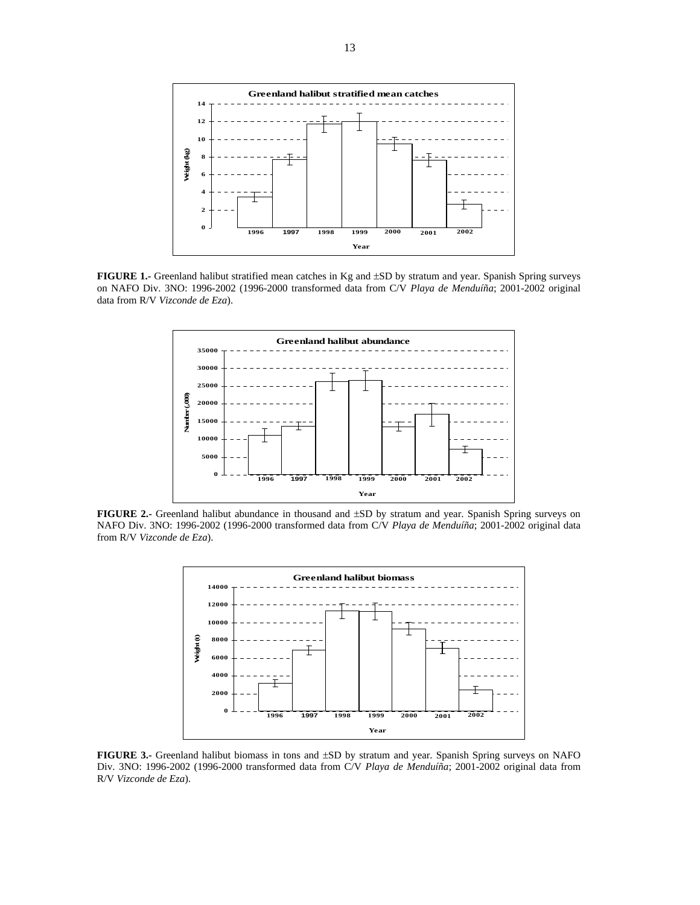

**FIGURE 1.-** Greenland halibut stratified mean catches in Kg and ±SD by stratum and year. Spanish Spring surveys on NAFO Div. 3NO: 1996-2002 (1996-2000 transformed data from C/V *Playa de Menduíña*; 2001-2002 original data from R/V *Vizconde de Eza*).



**FIGURE 2.-** Greenland halibut abundance in thousand and ±SD by stratum and year. Spanish Spring surveys on NAFO Div. 3NO: 1996-2002 (1996-2000 transformed data from C/V *Playa de Menduíña*; 2001-2002 original data from R/V *Vizconde de Eza*).



**FIGURE 3.-** Greenland halibut biomass in tons and ±SD by stratum and year. Spanish Spring surveys on NAFO Div. 3NO: 1996-2002 (1996-2000 transformed data from C/V *Playa de Menduíña*; 2001-2002 original data from R/V *Vizconde de Eza*).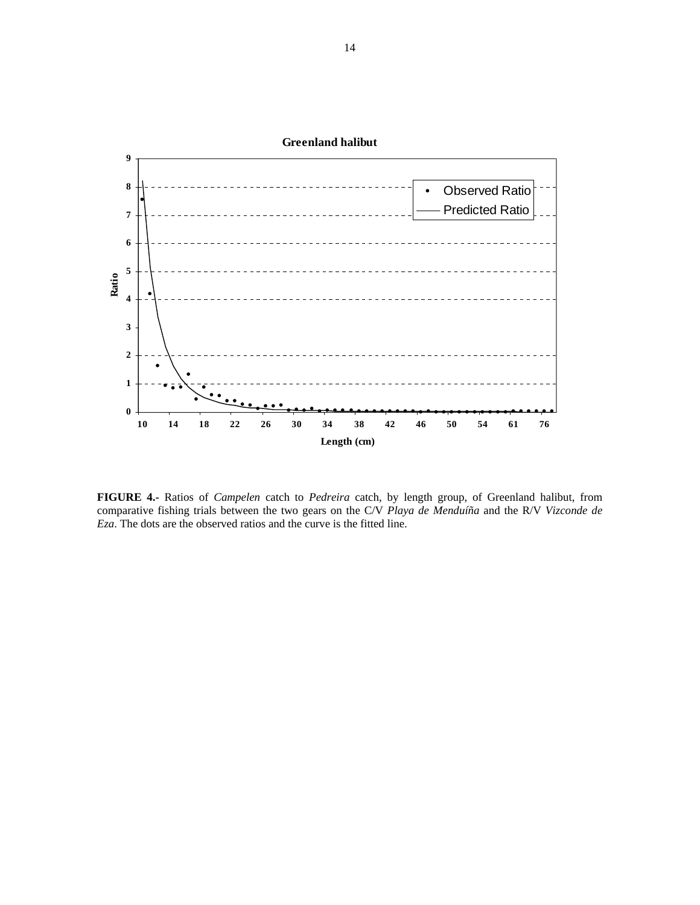

**FIGURE 4.-** Ratios of *Campelen* catch to *Pedreira* catch, by length group, of Greenland halibut, from comparative fishing trials between the two gears on the C/V *Playa de Menduíña* and the R/V *Vizconde de Eza*. The dots are the observed ratios and the curve is the fitted line.